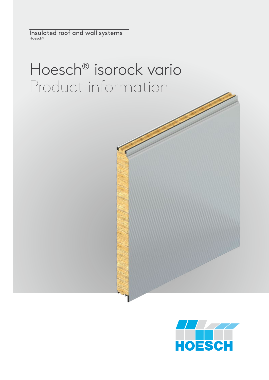Insulated roof and wall systems Hoesch®

# Hoesch® isorock vario Product information

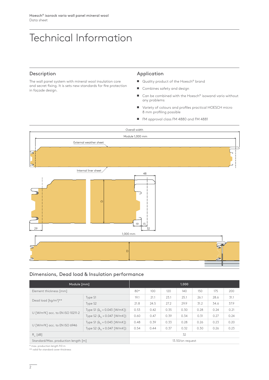# Technical Information

# Description

The wall panel system with mineral wool insulation core and secret fixing. It is sets new standards for fire protection in façade design.

#### Application

- Quality product of the Hoesch<sup>®</sup> brand
- Combines safety and design
- $\blacksquare$  Can be combined with the Hoesch® isowand vario without any problems
- O Variety of colours and profiles practical HOESCH micro 8 mm profiling possible
- FM approval class FM 4880 and FM 4881



# Dimensions, Dead load & Insulation performance

| Module [mm]                                   |                                         | 1.000            |                  |      |      |      |      |      |
|-----------------------------------------------|-----------------------------------------|------------------|------------------|------|------|------|------|------|
| Element thickness [mm]                        |                                         | $80*$            | 100 <sub>o</sub> | 120  | 140  | 150  | 175  | 200  |
| Dead load [kg/m <sup>2</sup> ]**              | Type S1                                 | 19.1             | 21.1             | 23.1 | 25.1 | 26.1 | 28.6 | 31.1 |
|                                               | Type S2                                 | 21.8             | 24.5             | 27.2 | 29.9 | 31.2 | 34.6 | 37.9 |
| U [W/m <sup>2</sup> K] acc. to EN ISO 10211-2 | Type S1 ( $\lambda_{p}$ = 0.043 [W/mK]) | 0.53             | 0.42             | 0.35 | 0.30 | 0.28 | 0.24 | 0.21 |
|                                               | Type S2 $(\lambda_0 = 0.047$ [W/mK])    | 0.60             | 0.47             | 0.39 | 0.34 | 0.31 | 0.27 | 0.24 |
| U [W/m <sup>2</sup> K] acc. to EN ISO 6946    | Type S1 ( $\lambda_{p}$ = 0.043 [W/mK]) | 0.48             | 0.39             | 0.33 | 0.28 | 0.26 | 0.23 | 0.20 |
|                                               | Type S2 $(\lambda_n = 0.047$ [W/mK])    | 0.54             | 0.44             | 0.37 | 0.32 | 0.30 | 0.26 | 0.23 |
| $R_{w}$ [dB]                                  |                                         | 32               |                  |      |      |      |      |      |
| Standard/Max. production length [m]           |                                         | 13.50/on request |                  |      |      |      |      |      |

\* max. production length 9.0 m

\*\* valid for standard cover thickness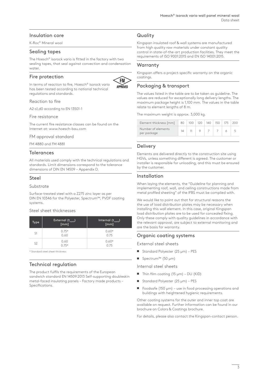# Insulation core

K-Roc® Mineral wool

#### Sealing tapes

The Hoesch® isorock vario is fitted in the factory with two sealing tapes, that seal against convection and condensation water

#### Fire protection



In terms of reaction to fire, Hoesch® isorock vario has been tested according to national technical regulations and standards.

Reaction to fire

A2-s1,d0 according to EN 13501-1

#### Fire resistance

The current fire resistance classes can be found on the Internet at: www.hoesch-bau.com

#### FM approval standard

FM 4880 and FM 4881

#### **Tolerances**

All materials used comply with the technical regulations and standards. Limit dimensions correspond to the tolerance dimensions of DIN EN 14509 – Appendix D.

#### Steel

#### Substrate

Surface-treated steel with a Z275 zinc layer as per DIN EN 10346 for the Polyester, Spectrum™, PVDF coating systems.

#### Steel sheet thicknesses

| Type           | External $(t_{\text{nom1}})$<br>[mm] | Internal $(t_{\text{nom}})$<br>[mm] |
|----------------|--------------------------------------|-------------------------------------|
| S1             | $0.75*$<br>0.60                      | $0.60*$<br>0.75                     |
| S <sub>2</sub> | 0.60<br>$0.75*$                      | $0.60*$<br>0.75                     |

\* Standard steel sheet thickness

# Technical regulation

The product fulfils the requirements of the European sandwich standard EN 14509:2013 Self-supporting doubleskin metal-faced insulating panels – Factory made products – Specifications.

# **Quality**

Kingspan insulated roof & wall systems are manufactured from high quality raw materials under constant quality control in state-of-the-art production facilities. They meet the requirements of ISO 9001:2015 and EN ISO 14001:2015.

# **Warranty**

Kingspan offers a project-specific warranty on the organic coatings.

# Packaging & transport

The values listed in the table are to be taken as guideline. The values are reduced for exceptionally long delivery lengths. The maximum package height is 1,100 mm. The values in the table relate to element lengths of 8 m.

The maximum weight is approx. 3,000 kg.

| Number of elements | Element thickness [mm] | 80 | $100 +$ | $120 \mid 140 \mid$ | 150 | 175 |  |
|--------------------|------------------------|----|---------|---------------------|-----|-----|--|
|                    | per package            |    |         |                     |     |     |  |

# Delivery

Elements are delivered directly to the construction site using HGVs, unless something different is agreed. The customer or installer is responsible for unloading, and this must be ensured by the customer.

# Installation

When laying the elements, the "Guideline for planning and implementing roof, wall, and ceiling constructions made from metal profiled sheeting" of the IFBS must be complied with.

We would like to point out that for structural reasons the the use of load distribution plates may be necessary when installing this wall element. In this case, original Kingspan load distribution plates are to be used for concealed fixing. Only these comply with quality guidelines in accordance with the relevant approval, are subject to external monitoring and are the basis for warranty.

# Organic coating systems

External steel sheets

- Standard Polyester  $(25 \mu m)$  PES
- Spectrum™ (50 μm)

Internal steel sheets

- $\blacksquare$  Thin film coating (15 μm) DU (KID)
- Standard Polyester  $(25 \mu m)$  PES
- $\blacksquare$  Foodsafe (150 µm) use in food processing operations and buildings with heightened hygienic requirements.

Other coating systems for the outer and inner top coat are available on request. Further information can be found in our brochure on Colors & Coatings brochure.

For details, please also contact the Kingspan-contact person.